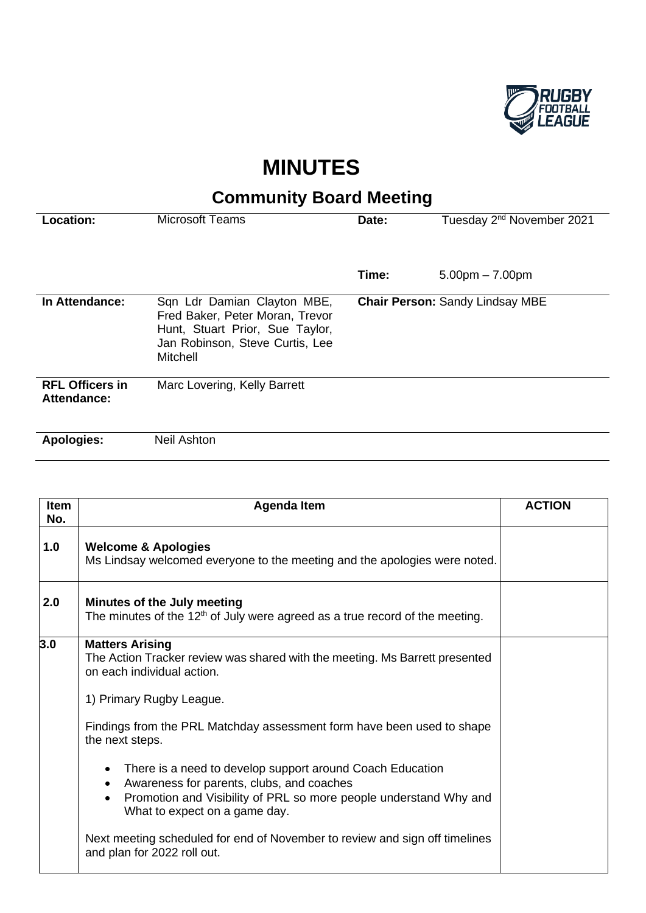

## **MINUTES**

## **Community Board Meeting**

| Location:                             | <b>Microsoft Teams</b>                                                                                                                           | Date:                                  | Tuesday 2 <sup>nd</sup> November 2021 |
|---------------------------------------|--------------------------------------------------------------------------------------------------------------------------------------------------|----------------------------------------|---------------------------------------|
|                                       |                                                                                                                                                  |                                        |                                       |
|                                       |                                                                                                                                                  | Time:                                  | $5.00pm - 7.00pm$                     |
| In Attendance:                        | Sqn Ldr Damian Clayton MBE,<br>Fred Baker, Peter Moran, Trevor<br>Hunt, Stuart Prior, Sue Taylor,<br>Jan Robinson, Steve Curtis, Lee<br>Mitchell | <b>Chair Person: Sandy Lindsay MBE</b> |                                       |
| <b>RFL Officers in</b><br>Attendance: | Marc Lovering, Kelly Barrett                                                                                                                     |                                        |                                       |
| <b>Apologies:</b>                     | <b>Neil Ashton</b>                                                                                                                               |                                        |                                       |

| <b>Item</b><br>No. | <b>Agenda Item</b>                                                                                                                                                                                                                     | <b>ACTION</b> |
|--------------------|----------------------------------------------------------------------------------------------------------------------------------------------------------------------------------------------------------------------------------------|---------------|
| 1.0                | <b>Welcome &amp; Apologies</b><br>Ms Lindsay welcomed everyone to the meeting and the apologies were noted.                                                                                                                            |               |
| 2.0                | Minutes of the July meeting<br>The minutes of the $12th$ of July were agreed as a true record of the meeting.                                                                                                                          |               |
| 3.0                | <b>Matters Arising</b><br>The Action Tracker review was shared with the meeting. Ms Barrett presented<br>on each individual action.                                                                                                    |               |
|                    | 1) Primary Rugby League.                                                                                                                                                                                                               |               |
|                    | Findings from the PRL Matchday assessment form have been used to shape<br>the next steps.                                                                                                                                              |               |
|                    | There is a need to develop support around Coach Education<br>$\bullet$<br>Awareness for parents, clubs, and coaches<br>$\bullet$<br>Promotion and Visibility of PRL so more people understand Why and<br>What to expect on a game day. |               |
|                    | Next meeting scheduled for end of November to review and sign off timelines<br>and plan for 2022 roll out.                                                                                                                             |               |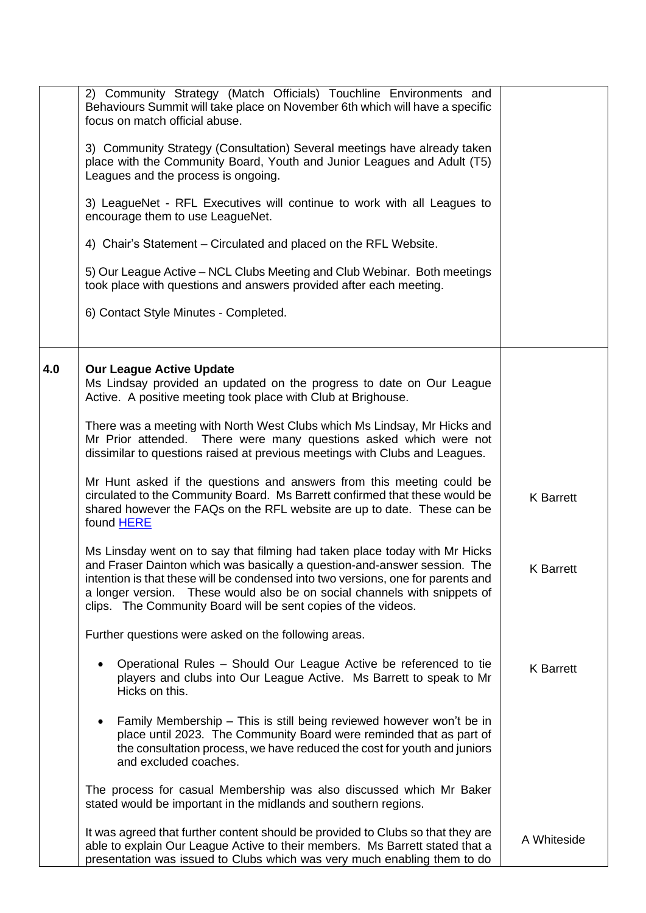|     | 2) Community Strategy (Match Officials) Touchline Environments and<br>Behaviours Summit will take place on November 6th which will have a specific<br>focus on match official abuse.<br>3) Community Strategy (Consultation) Several meetings have already taken<br>place with the Community Board, Youth and Junior Leagues and Adult (T5)<br>Leagues and the process is ongoing.<br>3) LeagueNet - RFL Executives will continue to work with all Leagues to<br>encourage them to use LeagueNet.<br>4) Chair's Statement – Circulated and placed on the RFL Website.<br>5) Our League Active – NCL Clubs Meeting and Club Webinar. Both meetings<br>took place with questions and answers provided after each meeting.<br>6) Contact Style Minutes - Completed.                                                                                                                                                                                                                                                                                       |                                      |
|-----|--------------------------------------------------------------------------------------------------------------------------------------------------------------------------------------------------------------------------------------------------------------------------------------------------------------------------------------------------------------------------------------------------------------------------------------------------------------------------------------------------------------------------------------------------------------------------------------------------------------------------------------------------------------------------------------------------------------------------------------------------------------------------------------------------------------------------------------------------------------------------------------------------------------------------------------------------------------------------------------------------------------------------------------------------------|--------------------------------------|
| 4.0 | <b>Our League Active Update</b><br>Ms Lindsay provided an updated on the progress to date on Our League<br>Active. A positive meeting took place with Club at Brighouse.<br>There was a meeting with North West Clubs which Ms Lindsay, Mr Hicks and<br>Mr Prior attended. There were many questions asked which were not<br>dissimilar to questions raised at previous meetings with Clubs and Leagues.<br>Mr Hunt asked if the questions and answers from this meeting could be<br>circulated to the Community Board. Ms Barrett confirmed that these would be<br>shared however the FAQs on the RFL website are up to date. These can be<br>found HERE<br>Ms Linsday went on to say that filming had taken place today with Mr Hicks<br>and Fraser Dainton which was basically a question-and-answer session. The<br>intention is that these will be condensed into two versions, one for parents and<br>a longer version. These would also be on social channels with snippets of<br>clips. The Community Board will be sent copies of the videos. | <b>K</b> Barrett<br><b>K</b> Barrett |
|     | Further questions were asked on the following areas.<br>Operational Rules - Should Our League Active be referenced to tie<br>٠<br>players and clubs into Our League Active. Ms Barrett to speak to Mr<br>Hicks on this.<br>Family Membership - This is still being reviewed however won't be in<br>$\bullet$<br>place until 2023. The Community Board were reminded that as part of<br>the consultation process, we have reduced the cost for youth and juniors<br>and excluded coaches.<br>The process for casual Membership was also discussed which Mr Baker<br>stated would be important in the midlands and southern regions.<br>It was agreed that further content should be provided to Clubs so that they are<br>able to explain Our League Active to their members. Ms Barrett stated that a<br>presentation was issued to Clubs which was very much enabling them to do                                                                                                                                                                      | <b>K</b> Barrett<br>A Whiteside      |